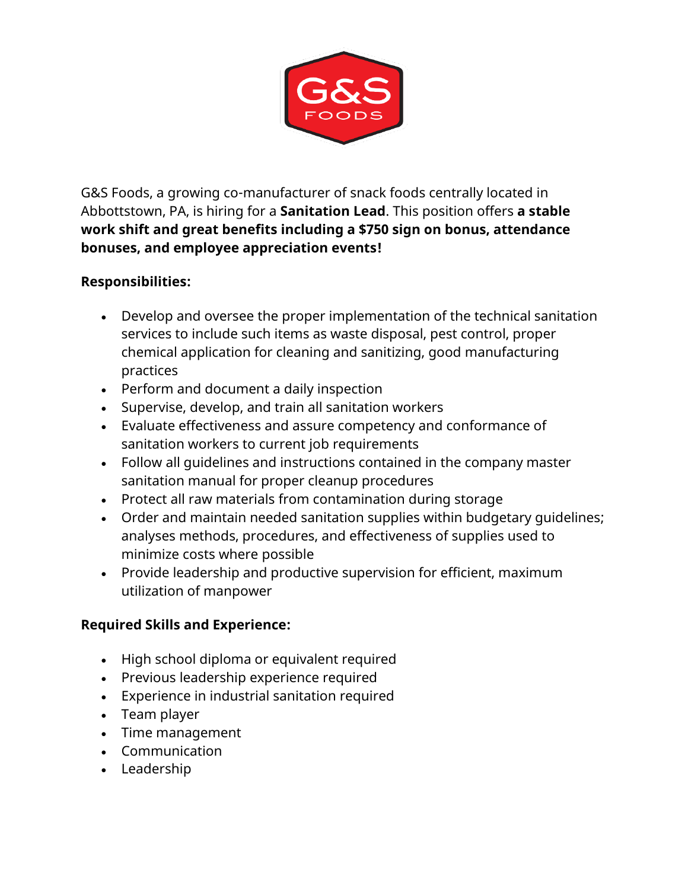

G&S Foods, a growing co-manufacturer of snack foods centrally located in Abbottstown, PA, is hiring for a **Sanitation Lead**. This position offers **a stable work shift and great benefits including a \$750 sign on bonus, attendance bonuses, and employee appreciation events!**

## **Responsibilities:**

- Develop and oversee the proper implementation of the technical sanitation services to include such items as waste disposal, pest control, proper chemical application for cleaning and sanitizing, good manufacturing practices
- Perform and document a daily inspection
- Supervise, develop, and train all sanitation workers
- Evaluate effectiveness and assure competency and conformance of sanitation workers to current job requirements
- Follow all guidelines and instructions contained in the company master sanitation manual for proper cleanup procedures
- Protect all raw materials from contamination during storage
- Order and maintain needed sanitation supplies within budgetary guidelines; analyses methods, procedures, and effectiveness of supplies used to minimize costs where possible
- Provide leadership and productive supervision for efficient, maximum utilization of manpower

## **Required Skills and Experience:**

- High school diploma or equivalent required
- Previous leadership experience required
- Experience in industrial sanitation required
- Team player
- Time management
- Communication
- Leadership